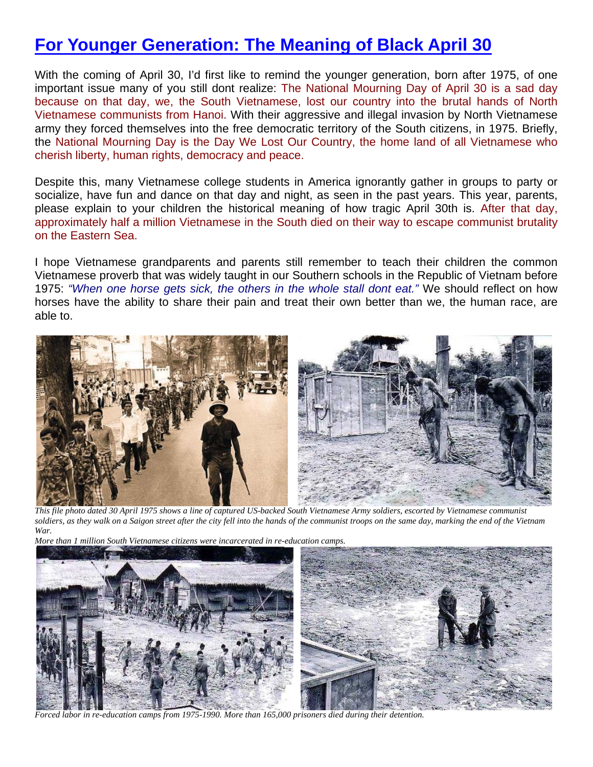## **For Younger Generation: The Meaning of Black April 30**

With the coming of April 30, I'd first like to remind the younger generation, born after 1975, of one important issue many of you still dont realize: The National Mourning Day of April 30 is a sad day because on that day, we, the South Vietnamese, lost our country into the brutal hands of North Vietnamese communists from Hanoi. With their aggressive and illegal invasion by North Vietnamese army they forced themselves into the free democratic territory of the South citizens, in 1975. Briefly, the National Mourning Day is the Day We Lost Our Country, the home land of all Vietnamese who cherish liberty, human rights, democracy and peace.

Despite this, many Vietnamese college students in America ignorantly gather in groups to party or socialize, have fun and dance on that day and night, as seen in the past years. This year, parents, please explain to your children the historical meaning of how tragic April 30th is. After that day, approximately half a million Vietnamese in the South died on their way to escape communist brutality on the Eastern Sea.

I hope Vietnamese grandparents and parents still remember to teach their children the common Vietnamese proverb that was widely taught in our Southern schools in the Republic of Vietnam before 1975: *"When one horse gets sick, the others in the whole stall dont eat."* We should reflect on how horses have the ability to share their pain and treat their own better than we, the human race, are able to.



 *This file photo dated 30 April 1975 shows a line of captured US-backed South Vietnamese Army soldiers, escorted by Vietnamese communist soldiers, as they walk on a Saigon street after the city fell into the hands of the communist troops on the same day, marking the end of the Vietnam War.* 





*Forced labor in re-education camps from 1975-1990. More than 165,000 prisoners died during their detention.*